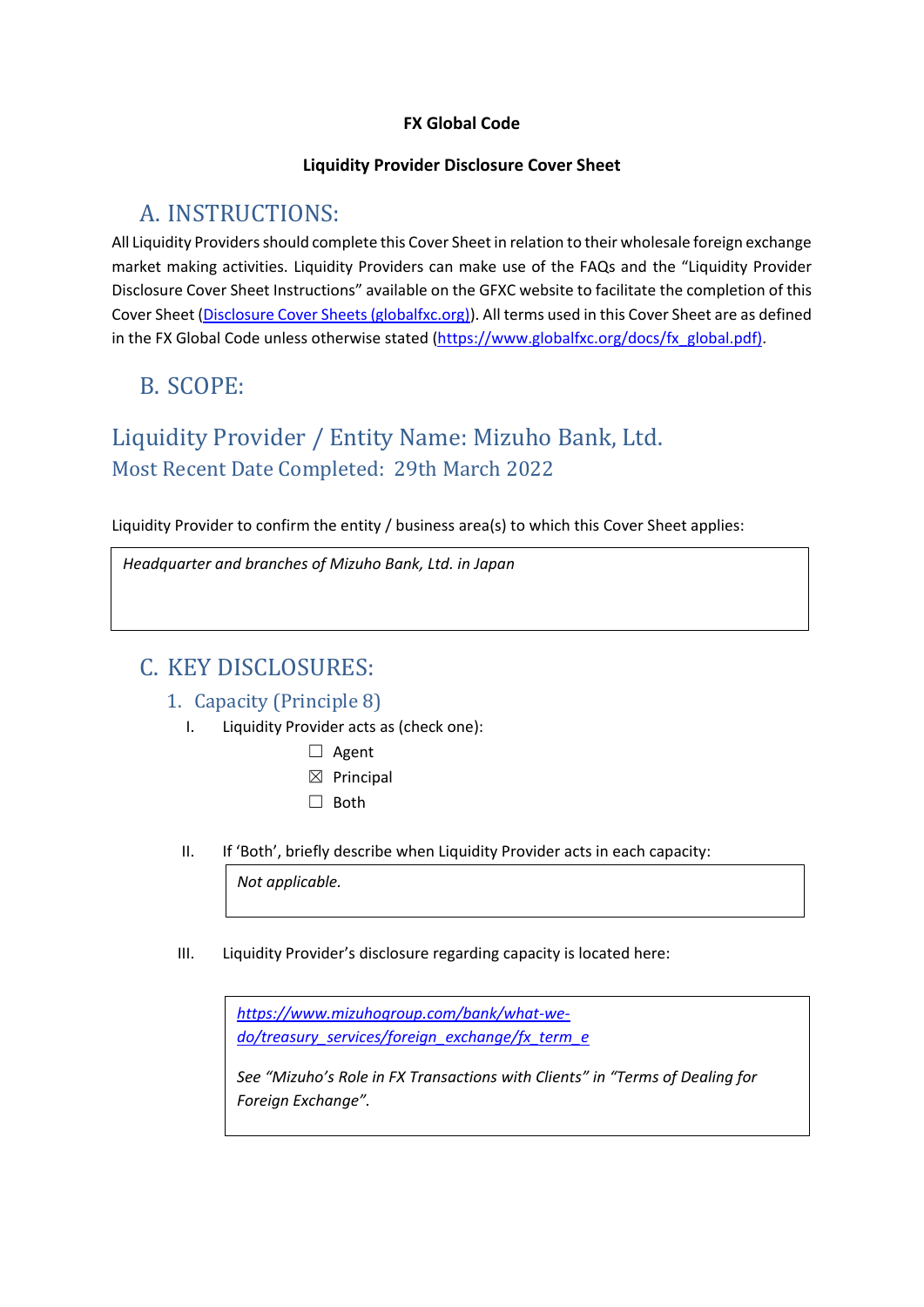### **FX Global Code**

#### **Liquidity Provider Disclosure Cover Sheet**

### A. INSTRUCTIONS:

All Liquidity Providers should complete this Cover Sheet in relation to their wholesale foreign exchange market making activities. Liquidity Providers can make use of the FAQs and the "Liquidity Provider Disclosure Cover Sheet Instructions" available on the GFXC website to facilitate the completion of this Cover Sheet [\(Disclosure Cover Sheets \(globalfxc.org\)\)](https://www.globalfxc.org/disclosure_cover_sheets.htm?m=78%7C455). All terms used in this Cover Sheet are as defined in the FX Global Code unless otherwise stated [\(https://www.globalfxc.org/docs/fx\\_global.pdf\)](https://www.globalfxc.org/docs/fx_global.pdf).

### B. SCOPE:

# Liquidity Provider / Entity Name: Mizuho Bank, Ltd. Most Recent Date Completed: 29th March 2022

Liquidity Provider to confirm the entity / business area(s) to which this Cover Sheet applies:

*Headquarter and branches of Mizuho Bank, Ltd. in Japan*

### C. KEY DISCLOSURES:

### 1. Capacity (Principle 8)

- I. Liquidity Provider acts as (check one):
	- □ Agent
	- $\boxtimes$  Principal
	- ☐ Both
- II. If 'Both', briefly describe when Liquidity Provider acts in each capacity:

*Not applicable.*

III. Liquidity Provider's disclosure regarding capacity is located here:

*[https://www.mizuhogroup.com/bank/what-we](https://www.mizuhogroup.com/bank/what-we-do/treasury_services/foreign_exchange/fx_term_e)[do/treasury\\_services/foreign\\_exchange/fx\\_term\\_e](https://www.mizuhogroup.com/bank/what-we-do/treasury_services/foreign_exchange/fx_term_e)*

*See "Mizuho's Role in FX Transactions with Clients" in "Terms of Dealing for Foreign Exchange".*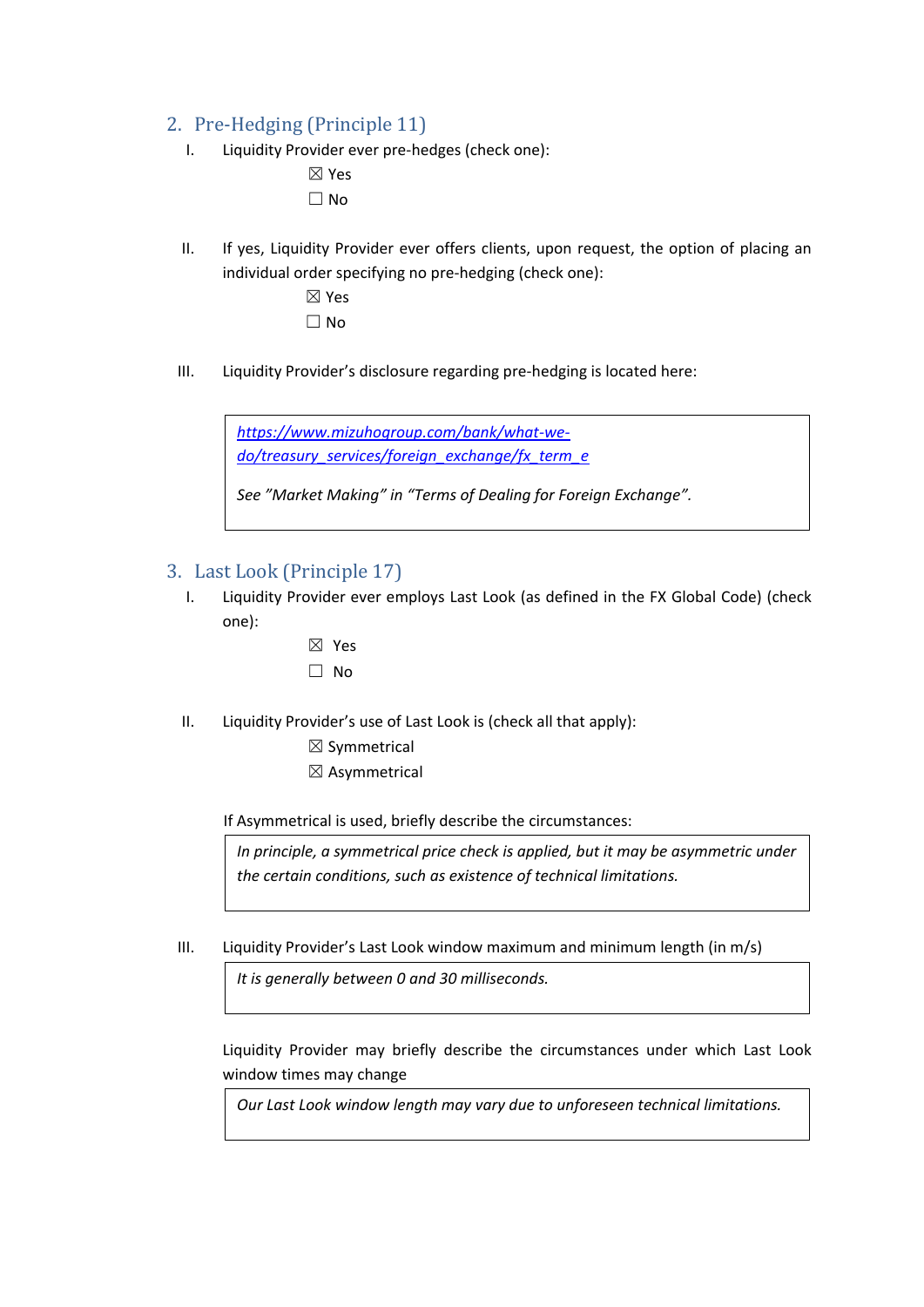### 2. Pre-Hedging (Principle 11)

I. Liquidity Provider ever pre-hedges (check one):

| IXI Yes |
|---------|
| ⊺ I No  |

II. If yes, Liquidity Provider ever offers clients, upon request, the option of placing an individual order specifying no pre-hedging (check one):

|  | $\boxtimes$ Yes |
|--|-----------------|
|  | $\Box$ No       |

III. Liquidity Provider's disclosure regarding pre-hedging is located here:

*[https://www.mizuhogroup.com/bank/what-we](https://www.mizuhogroup.com/bank/what-we-do/treasury_services/foreign_exchange/fx_term_e)[do/treasury\\_services/foreign\\_exchange/fx\\_term\\_e](https://www.mizuhogroup.com/bank/what-we-do/treasury_services/foreign_exchange/fx_term_e)*

*See "Market Making" in "Terms of Dealing for Foreign Exchange".*

#### 3. Last Look (Principle 17)

I. Liquidity Provider ever employs Last Look (as defined in the FX Global Code) (check one):

| ς<br>١<br>≏ |
|-------------|
| חמ          |

II. Liquidity Provider's use of Last Look is (check all that apply):

☒ Symmetrical

☒ Asymmetrical

If Asymmetrical is used, briefly describe the circumstances:

*In principle, a symmetrical price check is applied, but it may be asymmetric under the certain conditions, such as existence of technical limitations.*

III. Liquidity Provider's Last Look window maximum and minimum length (in m/s)

*It is generally between 0 and 30 milliseconds.*

Liquidity Provider may briefly describe the circumstances under which Last Look window times may change

*Our Last Look window length may vary due to unforeseen technical limitations.*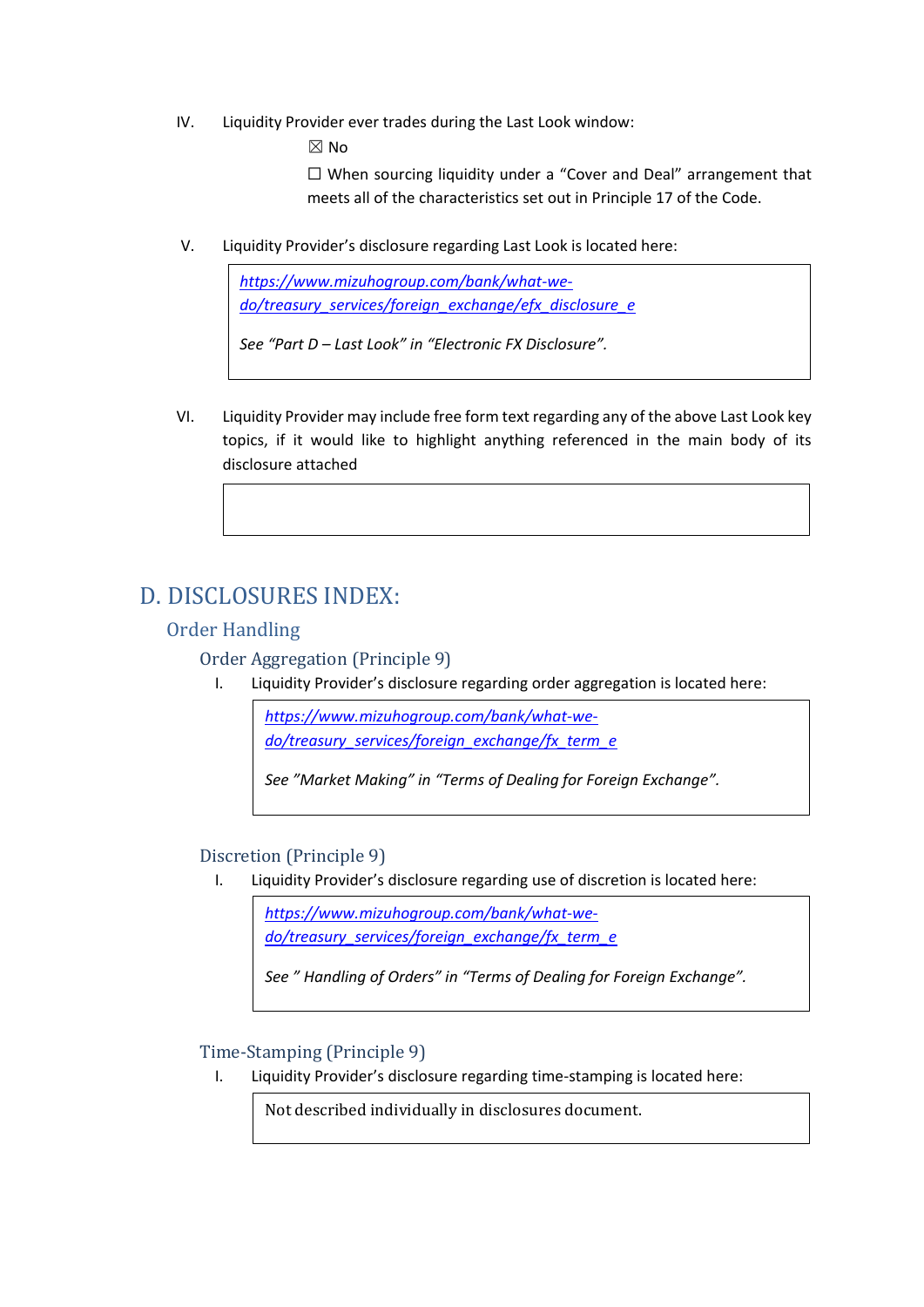- IV. Liquidity Provider ever trades during the Last Look window:
	- ☒ No

☐ When sourcing liquidity under a "Cover and Deal" arrangement that meets all of the characteristics set out in Principle 17 of the Code.

V. Liquidity Provider's disclosure regarding Last Look is located here:

*[https://www.mizuhogroup.com/bank/what-we](https://www.mizuhogroup.com/bank/what-we-do/treasury_services/foreign_exchange/efx_disclosure_e)[do/treasury\\_services/foreign\\_exchange/efx\\_disclosure\\_e](https://www.mizuhogroup.com/bank/what-we-do/treasury_services/foreign_exchange/efx_disclosure_e)*

*See "Part D – Last Look" in "Electronic FX Disclosure".*

VI. Liquidity Provider may include free form text regarding any of the above Last Look key topics, if it would like to highlight anything referenced in the main body of its disclosure attached

## D. DISCLOSURES INDEX:

### Order Handling

Order Aggregation (Principle 9)

I. Liquidity Provider's disclosure regarding order aggregation is located here:

*[https://www.mizuhogroup.com/bank/what-we](https://www.mizuhogroup.com/bank/what-we-do/treasury_services/foreign_exchange/fx_term_e)[do/treasury\\_services/foreign\\_exchange/fx\\_term\\_e](https://www.mizuhogroup.com/bank/what-we-do/treasury_services/foreign_exchange/fx_term_e)*

*See "Market Making" in "Terms of Dealing for Foreign Exchange".*

#### Discretion (Principle 9)

I. Liquidity Provider's disclosure regarding use of discretion is located here:

*[https://www.mizuhogroup.com/bank/what-we](https://www.mizuhogroup.com/bank/what-we-do/treasury_services/foreign_exchange/fx_term_e)[do/treasury\\_services/foreign\\_exchange/fx\\_term\\_e](https://www.mizuhogroup.com/bank/what-we-do/treasury_services/foreign_exchange/fx_term_e)*

*See " Handling of Orders" in "Terms of Dealing for Foreign Exchange".*

Time-Stamping (Principle 9)

I. Liquidity Provider's disclosure regarding time-stamping is located here:

Not described individually in disclosures document.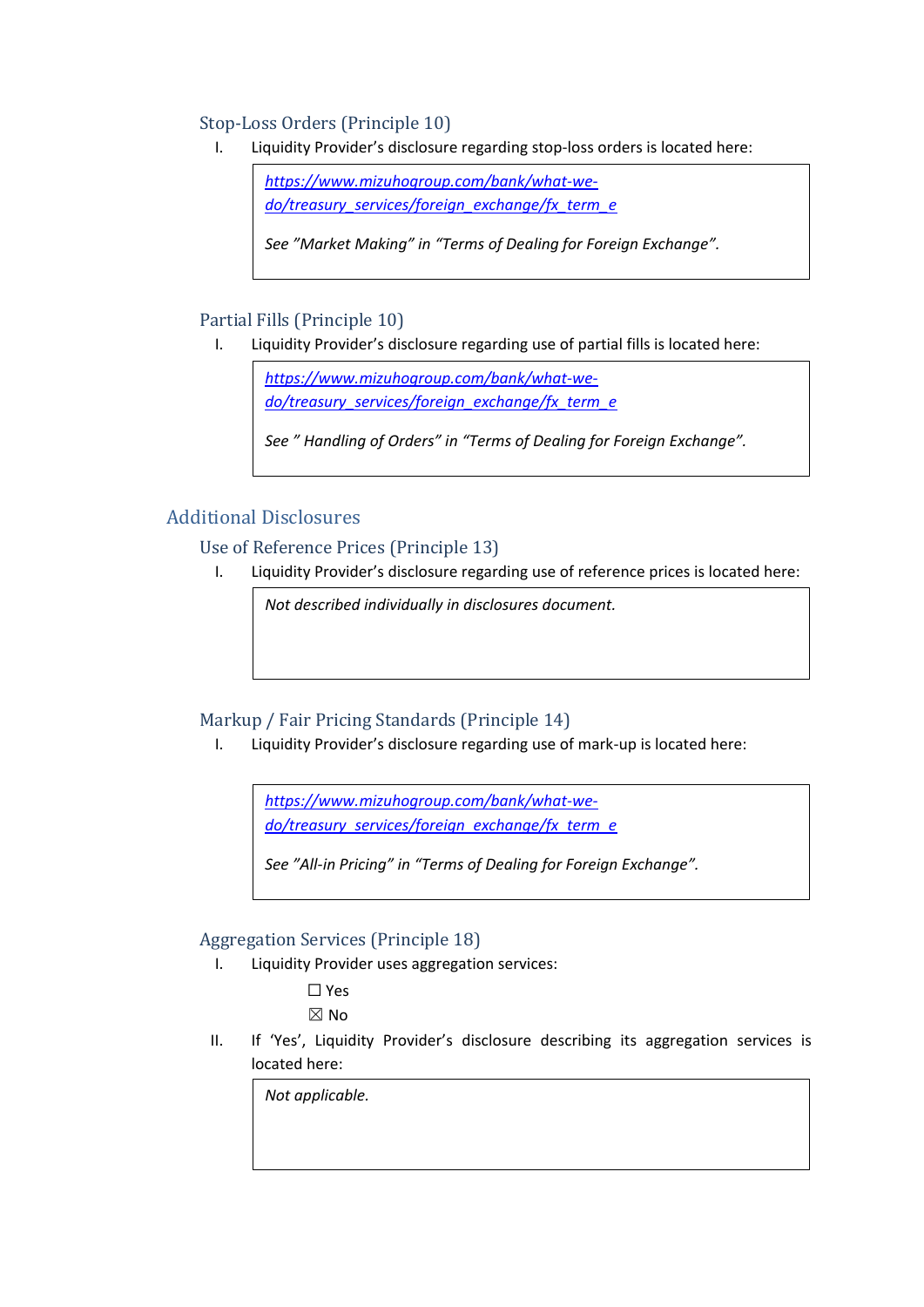### Stop-Loss Orders (Principle 10)

I. Liquidity Provider's disclosure regarding stop-loss orders is located here:

*[https://www.mizuhogroup.com/bank/what-we](https://www.mizuhogroup.com/bank/what-we-do/treasury_services/foreign_exchange/fx_term_e)[do/treasury\\_services/foreign\\_exchange/fx\\_term\\_e](https://www.mizuhogroup.com/bank/what-we-do/treasury_services/foreign_exchange/fx_term_e)*

*See "Market Making" in "Terms of Dealing for Foreign Exchange".*

### Partial Fills (Principle 10)

I. Liquidity Provider's disclosure regarding use of partial fills is located here:

*[https://www.mizuhogroup.com/bank/what-we](https://www.mizuhogroup.com/bank/what-we-do/treasury_services/foreign_exchange/fx_term_e)[do/treasury\\_services/foreign\\_exchange/fx\\_term\\_e](https://www.mizuhogroup.com/bank/what-we-do/treasury_services/foreign_exchange/fx_term_e)*

*See " Handling of Orders" in "Terms of Dealing for Foreign Exchange".*

### Additional Disclosures

Use of Reference Prices (Principle 13)

I. Liquidity Provider's disclosure regarding use of reference prices is located here:

*Not described individually in disclosures document.*

### Markup / Fair Pricing Standards (Principle 14)

I. Liquidity Provider's disclosure regarding use of mark-up is located here:

*[https://www.mizuhogroup.com/bank/what-we](https://www.mizuhogroup.com/bank/what-we-do/treasury_services/foreign_exchange/fx_term_e)[do/treasury\\_services/foreign\\_exchange/fx\\_term\\_e](https://www.mizuhogroup.com/bank/what-we-do/treasury_services/foreign_exchange/fx_term_e)*

*See "All-in Pricing" in "Terms of Dealing for Foreign Exchange".*

### Aggregation Services (Principle 18)

- I. Liquidity Provider uses aggregation services:
	- ☐ Yes ☒ No
- II. If 'Yes', Liquidity Provider's disclosure describing its aggregation services is located here:

*Not applicable.*